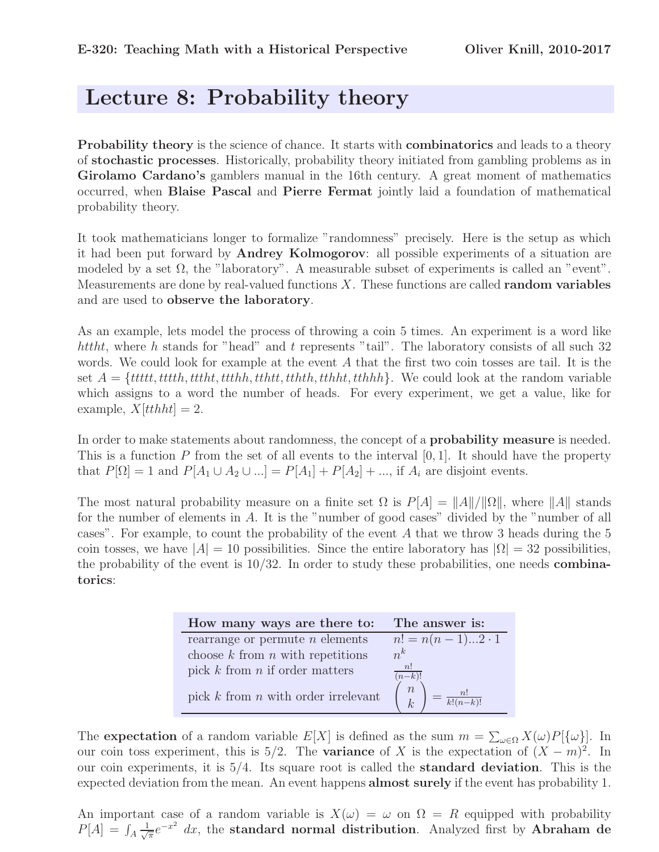## Lecture 8: Probability theory

Probability theory is the science of chance. It starts with **combinatorics** and leads to a theory of stochastic processes. Historically, probability theory initiated from gambling problems as in Girolamo Cardano's gamblers manual in the 16th century. A great moment of mathematics occurred, when Blaise Pascal and Pierre Fermat jointly laid a foundation of mathematical probability theory.

It took mathematicians longer to formalize "randomness" precisely. Here is the setup as which it had been put forward by Andrey Kolmogorov: all possible experiments of a situation are modeled by a set  $\Omega$ , the "laboratory". A measurable subset of experiments is called an "event". Measurements are done by real-valued functions  $X$ . These functions are called **random variables** and are used to observe the laboratory.

As an example, lets model the process of throwing a coin 5 times. An experiment is a word like httht, where h stands for "head" and t represents "tail". The laboratory consists of all such 32 words. We could look for example at the event A that the first two coin tosses are tail. It is the set  $A = \{tttttt,ttth,ttth,ttth,ttth,ttth,ttth,ttth,tth,tth\}$ . We could look at the random variable which assigns to a word the number of heads. For every experiment, we get a value, like for example,  $X[tthht] = 2$ .

In order to make statements about randomness, the concept of a **probability measure** is needed. This is a function  $P$  from the set of all events to the interval  $[0, 1]$ . It should have the property that  $P[\Omega] = 1$  and  $P[A_1 \cup A_2 \cup ...] = P[A_1] + P[A_2] + ...$ , if  $A_i$  are disjoint events.

The most natural probability measure on a finite set  $\Omega$  is  $P[A] = ||A||/||\Omega||$ , where  $||A||$  stands for the number of elements in A. It is the "number of good cases" divided by the "number of all cases". For example, to count the probability of the event A that we throw 3 heads during the 5 coin tosses, we have  $|A| = 10$  possibilities. Since the entire laboratory has  $|\Omega| = 32$  possibilities, the probability of the event is  $10/32$ . In order to study these probabilities, one needs **combina**torics:

| How many ways are there to:             | The answer is:                                                    |
|-----------------------------------------|-------------------------------------------------------------------|
| rearrange or permute $n$ elements       | $n! = n(n-1)2 \cdot 1$                                            |
| choose $k$ from $n$ with repetitions    | $n^k$                                                             |
| pick $k$ from $n$ if order matters      | n!<br>$(n-k)!$                                                    |
| pick $k$ from $n$ with order irrelevant | $\boldsymbol{n}$<br>n!<br>$\overline{k!(n-k)!}$<br>k <sup>2</sup> |

The **expectation** of a random variable  $E[X]$  is defined as the sum  $m = \sum_{\omega \in \Omega} X(\omega)P[\{\omega\}]$ . In our coin toss experiment, this is 5/2. The **variance** of X is the expectation of  $(X - m)^2$ . In our coin experiments, it is  $5/4$ . Its square root is called the **standard deviation**. This is the expected deviation from the mean. An event happens almost surely if the event has probability 1.

An important case of a random variable is  $X(\omega) = \omega$  on  $\Omega = R$  equipped with probability  $P[A] = \int_A \frac{1}{\sqrt{\pi}} e^{-x^2} dx$ , the standard normal distribution. Analyzed first by Abraham de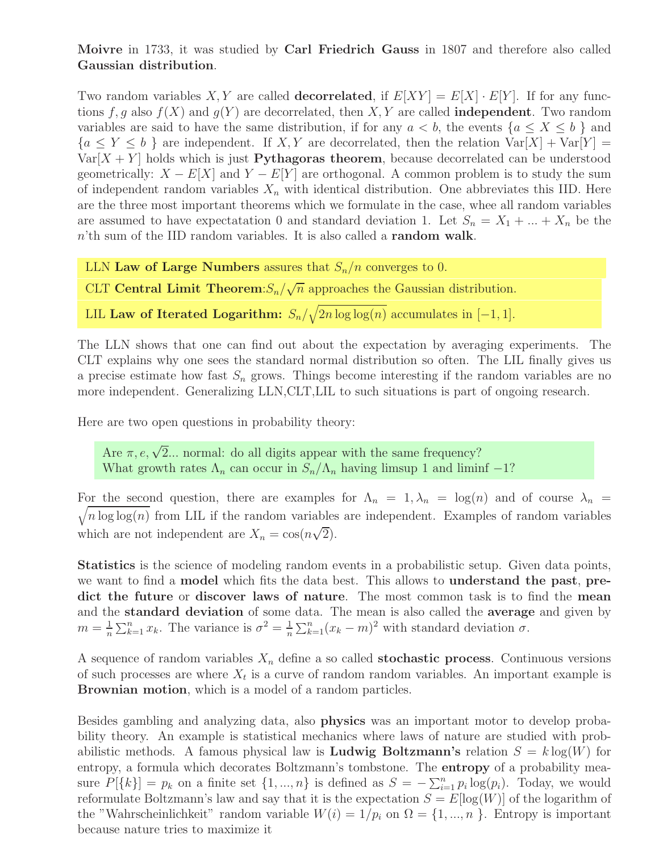Moivre in 1733, it was studied by Carl Friedrich Gauss in 1807 and therefore also called Gaussian distribution.

Two random variables X, Y are called **decorrelated**, if  $E[XY] = E[X] \cdot E[Y]$ . If for any functions f, g also  $f(X)$  and  $g(Y)$  are decorrelated, then X, Y are called **independent**. Two random variables are said to have the same distribution, if for any  $a < b$ , the events  $\{a \le X \le b\}$  and  ${a \leq Y \leq b}$  are independent. If X, Y are decorrelated, then the relation  $Var[X] + Var[Y] =$  $Var[X + Y]$  holds which is just **Pythagoras theorem**, because decorrelated can be understood geometrically:  $X - E[X]$  and  $Y - E[Y]$  are orthogonal. A common problem is to study the sum of independent random variables  $X_n$  with identical distribution. One abbreviates this IID. Here are the three most important theorems which we formulate in the case, whee all random variables are assumed to have expectatation 0 and standard deviation 1. Let  $S_n = X_1 + ... + X_n$  be the  $n$ 'th sum of the IID random variables. It is also called a random walk.

LLN Law of Large Numbers assures that  $S_n/n$  converges to 0.

CLT Central Limit Theorem: $S_n/\sqrt{n}$  approaches the Gaussian distribution.

LIL **Law of Iterated Logarithm:**  $S_n/\sqrt{2n \log \log(n)}$  accumulates in  $[-1, 1]$ .

The LLN shows that one can find out about the expectation by averaging experiments. The CLT explains why one sees the standard normal distribution so often. The LIL finally gives us a precise estimate how fast  $S_n$  grows. Things become interesting if the random variables are no more independent. Generalizing LLN,CLT,LIL to such situations is part of ongoing research.

Here are two open questions in probability theory:

Are  $\pi, e, \sqrt{2}$ ... normal: do all digits appear with the same frequency? What growth rates  $\Lambda_n$  can occur in  $S_n/\Lambda_n$  having limsup 1 and liminf  $-1$ ?

For the second question, there are examples for  $\Lambda_n = 1, \lambda_n = \log(n)$  and of course  $\lambda_n = \sqrt{n \log \log(n)}$  from LIL if the random variables are independent. Examples of random variables  $\sqrt{n} \log \log(n)$  from LIL if the random variables are independent. Examples of random variables which are not independent are  $X_n = \cos(n\sqrt{2})$ .

Statistics is the science of modeling random events in a probabilistic setup. Given data points, we want to find a model which fits the data best. This allows to understand the past, predict the future or discover laws of nature. The most common task is to find the mean and the standard deviation of some data. The mean is also called the average and given by  $m = \frac{1}{n} \sum_{k=1}^n x_k$ . The variance is  $\sigma^2 = \frac{1}{n} \sum_{k=1}^n (x_k - m)^2$  with standard deviation  $\sigma$ .

A sequence of random variables  $X_n$  define a so called **stochastic process**. Continuous versions of such processes are where  $X_t$  is a curve of random random variables. An important example is Brownian motion, which is a model of a random particles.

Besides gambling and analyzing data, also physics was an important motor to develop probability theory. An example is statistical mechanics where laws of nature are studied with probabilistic methods. A famous physical law is **Ludwig Boltzmann's** relation  $S = k \log(W)$  for entropy, a formula which decorates Boltzmann's tombstone. The **entropy** of a probability measure  $P[\{k\}] = p_k$  on a finite set  $\{1, ..., n\}$  is defined as  $S = -\sum_{i=1}^n p_i \log(p_i)$ . Today, we would reformulate Boltzmann's law and say that it is the expectation  $S = E[log(W)]$  of the logarithm of the "Wahrscheinlichkeit" random variable  $W(i) = 1/p_i$  on  $\Omega = \{1, ..., n\}$ . Entropy is important because nature tries to maximize it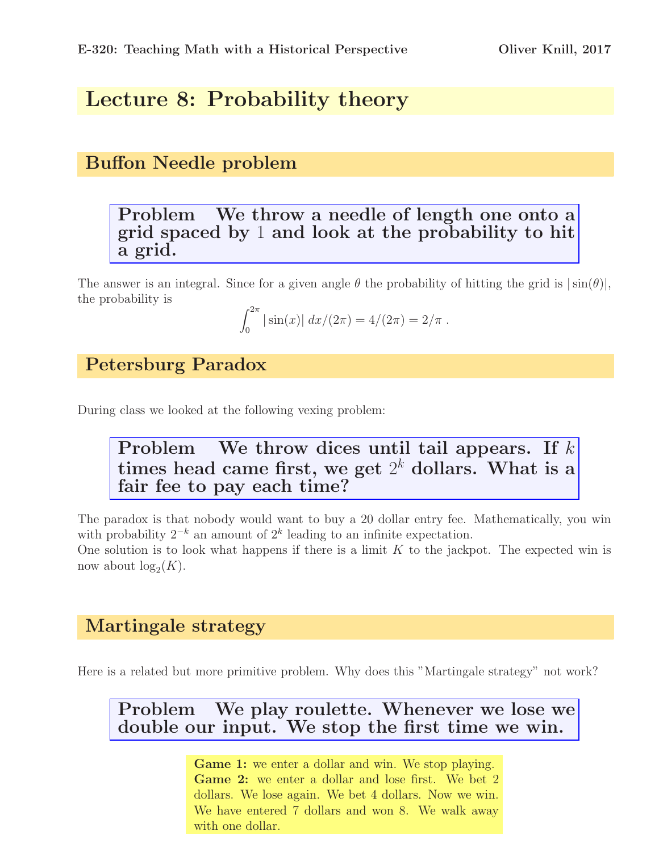# Lecture 8: Probability theory

## Buffon Needle problem

#### Problem We throw a needle of length one onto a grid spaced by 1 and look at the probability to hit a grid.

The answer is an integral. Since for a given angle  $\theta$  the probability of hitting the grid is  $|\sin(\theta)|$ , the probability is

$$
\int_0^{2\pi} |\sin(x)| \, dx/(2\pi) = 4/(2\pi) = 2/\pi.
$$

Petersburg Paradox

During class we looked at the following vexing problem:

#### Problem We throw dices until tail appears. If  $k$ times head came first, we get  $2^k$  dollars. What is a fair fee to pay each time?

The paradox is that nobody would want to buy a 20 dollar entry fee. Mathematically, you win with probability  $2^{-k}$  an amount of  $2^k$  leading to an infinite expectation.

One solution is to look what happens if there is a limit  $K$  to the jackpot. The expected win is now about  $log_2(K)$ .

#### Martingale strategy

Here is a related but more primitive problem. Why does this "Martingale strategy" not work?

#### Problem We play roulette. Whenever we lose we double our input. We stop the first time we win.

Game 1: we enter a dollar and win. We stop playing. Game 2: we enter a dollar and lose first. We bet 2 dollars. We lose again. We bet 4 dollars. Now we win. We have entered 7 dollars and won 8. We walk away with one dollar.